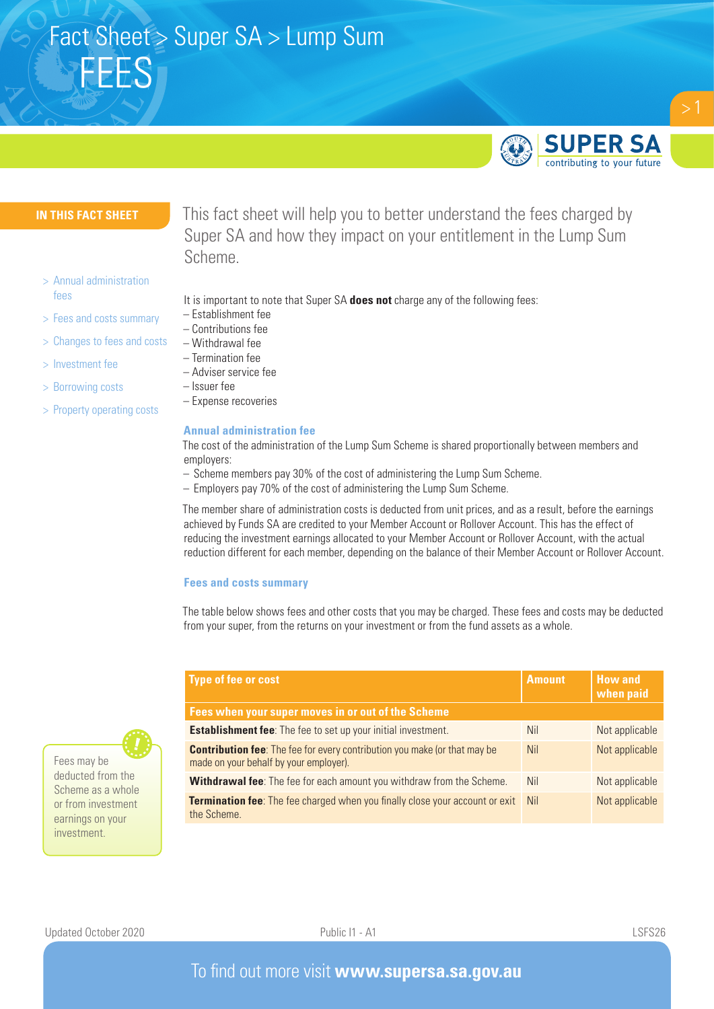

#### **IN THIS FACT SHEET**

- > Annual administration fees
- > Fees and costs summary
- > Changes to fees and costs
- > Investment fee
- > Borrowing costs
- > Property operating costs

This fact sheet will help you to better understand the fees charged by Super SA and how they impact on your entitlement in the Lump Sum Scheme.

- It is important to note that Super SA **does not** charge any of the following fees:
- Establishment fee
- Contributions fee
- Withdrawal fee
- Termination fee – Adviser service fee
- Issuer fee
- Expense recoveries

#### **Annual administration fee**

The cost of the administration of the Lump Sum Scheme is shared proportionally between members and employers:

- Scheme members pay 30% of the cost of administering the Lump Sum Scheme.
- Employers pay 70% of the cost of administering the Lump Sum Scheme.

The member share of administration costs is deducted from unit prices, and as a result, before the earnings achieved by Funds SA are credited to your Member Account or Rollover Account. This has the effect of reducing the investment earnings allocated to your Member Account or Rollover Account, with the actual reduction different for each member, depending on the balance of their Member Account or Rollover Account.

#### **Fees and costs summary**

The table below shows fees and other costs that you may be charged. These fees and costs may be deducted from your super, from the returns on your investment or from the fund assets as a whole.

| <b>Type of fee or cost</b>                                                                                                 | <b>Amount</b> | <b>How and</b><br>when paid |  |  |  |  |  |
|----------------------------------------------------------------------------------------------------------------------------|---------------|-----------------------------|--|--|--|--|--|
| Fees when your super moves in or out of the Scheme                                                                         |               |                             |  |  |  |  |  |
| <b>Establishment fee:</b> The fee to set up your initial investment.                                                       | <b>Nil</b>    | Not applicable              |  |  |  |  |  |
| <b>Contribution fee:</b> The fee for every contribution you make (or that may be<br>made on your behalf by your employer). | <b>Nil</b>    | Not applicable              |  |  |  |  |  |
| Withdrawal fee: The fee for each amount you withdraw from the Scheme.                                                      | <b>Nil</b>    | Not applicable              |  |  |  |  |  |
| <b>Termination fee:</b> The fee charged when you finally close your account or exit<br>the Scheme.                         | <b>Nil</b>    | Not applicable              |  |  |  |  |  |

Fees may be deducted from the Scheme as a whole or from investment earnings on your investment.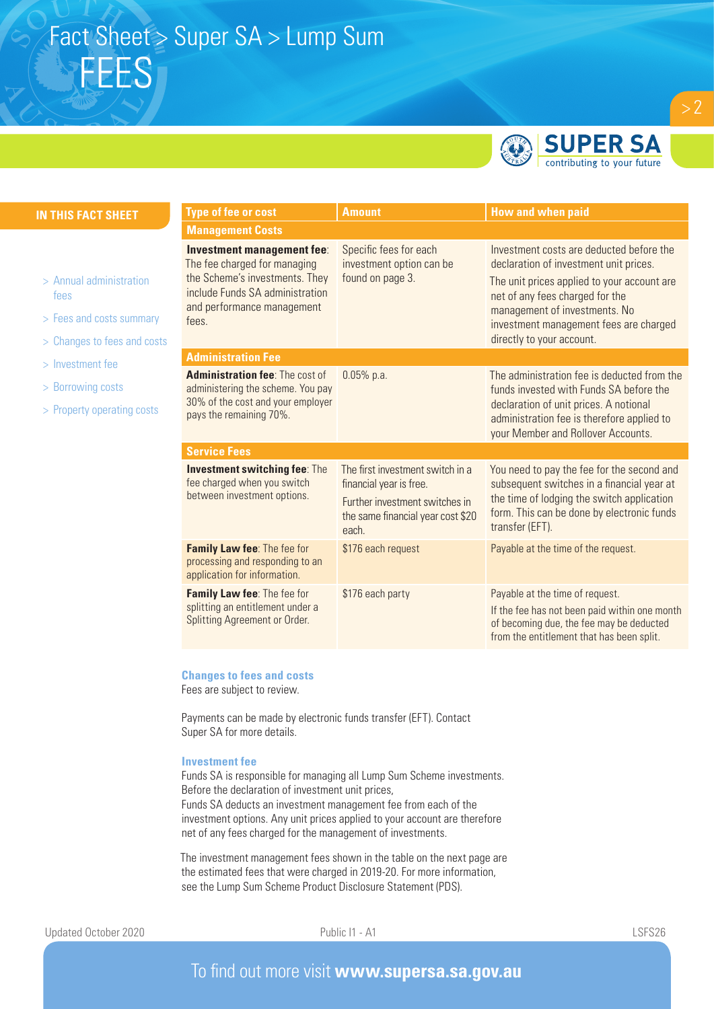

**SUPER SA** contributing to your future

| <b>Management Costs</b>                                                                                                                                                                                                                                                      |  |  |  |  |  |
|------------------------------------------------------------------------------------------------------------------------------------------------------------------------------------------------------------------------------------------------------------------------------|--|--|--|--|--|
| Investment costs are deducted before the<br>declaration of investment unit prices.<br>The unit prices applied to your account are<br>net of any fees charged for the<br>management of investments. No<br>investment management fees are charged<br>directly to your account. |  |  |  |  |  |
| <b>Administration Fee</b>                                                                                                                                                                                                                                                    |  |  |  |  |  |
| The administration fee is deducted from the<br>funds invested with Funds SA before the<br>declaration of unit prices. A notional<br>administration fee is therefore applied to<br>your Member and Rollover Accounts.                                                         |  |  |  |  |  |
| <b>Service Fees</b>                                                                                                                                                                                                                                                          |  |  |  |  |  |
| You need to pay the fee for the second and<br>subsequent switches in a financial year at<br>the time of lodging the switch application<br>form. This can be done by electronic funds                                                                                         |  |  |  |  |  |
| Payable at the time of the request.                                                                                                                                                                                                                                          |  |  |  |  |  |
| Payable at the time of request.<br>If the fee has not been paid within one month<br>of becoming due, the fee may be deducted<br>from the entitlement that has been split.                                                                                                    |  |  |  |  |  |
|                                                                                                                                                                                                                                                                              |  |  |  |  |  |

#### **Changes to fees and costs**

Fees are subject to review.

Payments can be made by electronic funds transfer (EFT). Contact Super SA for more details.

#### **Investment fee**

Funds SA is responsible for managing all Lump Sum Scheme investments. Before the declaration of investment unit prices, Funds SA deducts an investment management fee from each of the investment options. Any unit prices applied to your account are therefore net of any fees charged for the management of investments.

The investment management fees shown in the table on the next page are the estimated fees that were charged in 2019-20. For more information, see the Lump Sum Scheme Product Disclosure Statement (PDS).

**IN T**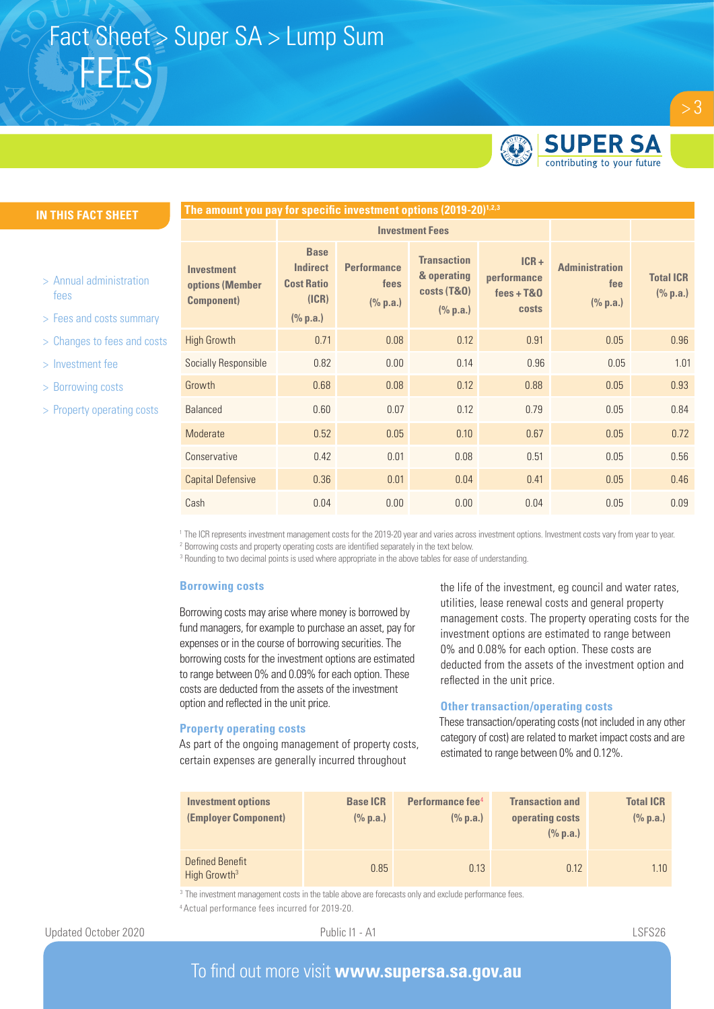

 $> 3$ 

#### **IN THIS FACT SHEET**

- > Annual administration fees
- > Fees and costs summary
- > Changes to fees and costs
- > Investment fee
- > Borrowing costs
- > Property operating costs

| The amount you pay for specific investment options (2019-20) <sup>1,2,3</sup> |                                                                          |                                        |                                                                         |                                                        |                                          |                              |  |  |
|-------------------------------------------------------------------------------|--------------------------------------------------------------------------|----------------------------------------|-------------------------------------------------------------------------|--------------------------------------------------------|------------------------------------------|------------------------------|--|--|
|                                                                               | <b>Investment Fees</b>                                                   |                                        |                                                                         |                                                        |                                          |                              |  |  |
| <b>Investment</b><br>options (Member<br><b>Component</b> )                    | <b>Base</b><br><b>Indirect</b><br><b>Cost Ratio</b><br>(ICR)<br>(% p.a.) | <b>Performance</b><br>fees<br>(% p.a.) | <b>Transaction</b><br>& operating<br><b>costs (T&amp;O)</b><br>(% p.a.) | $ICR +$<br>performance<br>$fees + T&0$<br><b>costs</b> | <b>Administration</b><br>fee<br>(% p.a.) | <b>Total ICR</b><br>(% p.a.) |  |  |
| <b>High Growth</b>                                                            | 0.71                                                                     | 0.08                                   | 0.12                                                                    | 0.91                                                   | 0.05                                     | 0.96                         |  |  |
| Socially Responsible                                                          | 0.82                                                                     | 0.00                                   | 0.14                                                                    | 0.96                                                   | 0.05                                     | 1.01                         |  |  |
| Growth                                                                        | 0.68                                                                     | 0.08                                   | 0.12                                                                    | 0.88                                                   | 0.05                                     | 0.93                         |  |  |
| <b>Balanced</b>                                                               | 0.60                                                                     | 0.07                                   | 0.12                                                                    | 0.79                                                   | 0.05                                     | 0.84                         |  |  |
| Moderate                                                                      | 0.52                                                                     | 0.05                                   | 0.10                                                                    | 0.67                                                   | 0.05                                     | 0.72                         |  |  |
| Conservative                                                                  | 0.42                                                                     | 0.01                                   | 0.08                                                                    | 0.51                                                   | 0.05                                     | 0.56                         |  |  |
| <b>Capital Defensive</b>                                                      | 0.36                                                                     | 0.01                                   | 0.04                                                                    | 0.41                                                   | 0.05                                     | 0.46                         |  |  |
| Cash                                                                          | 0.04                                                                     | 0.00                                   | 0.00                                                                    | 0.04                                                   | 0.05                                     | 0.09                         |  |  |

<sup>1</sup> The ICR represents investment management costs for the 2019-20 year and varies across investment options. Investment costs vary from year to year.<br><sup>2</sup> Borrowing costs and property operating costs are identified separat

<sup>3</sup> Rounding to two decimal points is used where appropriate in the above tables for ease of understanding.

#### **Borrowing costs**

Borrowing costs may arise where money is borrowed by fund managers, for example to purchase an asset, pay for expenses or in the course of borrowing securities. The borrowing costs for the investment options are estimated to range between 0% and 0.09% for each option. These costs are deducted from the assets of the investment option and reflected in the unit price.

#### **Property operating costs**

As part of the ongoing management of property costs, certain expenses are generally incurred throughout

the life of the investment, eg council and water rates, utilities, lease renewal costs and general property management costs. The property operating costs for the investment options are estimated to range between 0% and 0.08% for each option. These costs are deducted from the assets of the investment option and reflected in the unit price.

#### **Other transaction/operating costs**

These transaction/operating costs (not included in any other category of cost) are related to market impact costs and are estimated to range between 0% and 0.12%.

| <b>Investment options</b><br>(Employer Component) | <b>Base ICR</b><br>(% p.a.) | Performance fee <sup>4</sup><br>$(\%$ p.a.) | <b>Transaction and</b><br>operating costs<br>(% p.a.) | <b>Total ICR</b><br>(% p.a.) |
|---------------------------------------------------|-----------------------------|---------------------------------------------|-------------------------------------------------------|------------------------------|
| Defined Benefit<br>High Growth <sup>3</sup>       | 0.85                        | 0.13                                        | 0.12                                                  | 1.10                         |

<sup>3</sup> The investment management costs in the table above are forecasts only and exclude performance fees. 4 Actual performance fees incurred for 2019-20.

### To find out more visit **www.supersa.sa.gov.au**